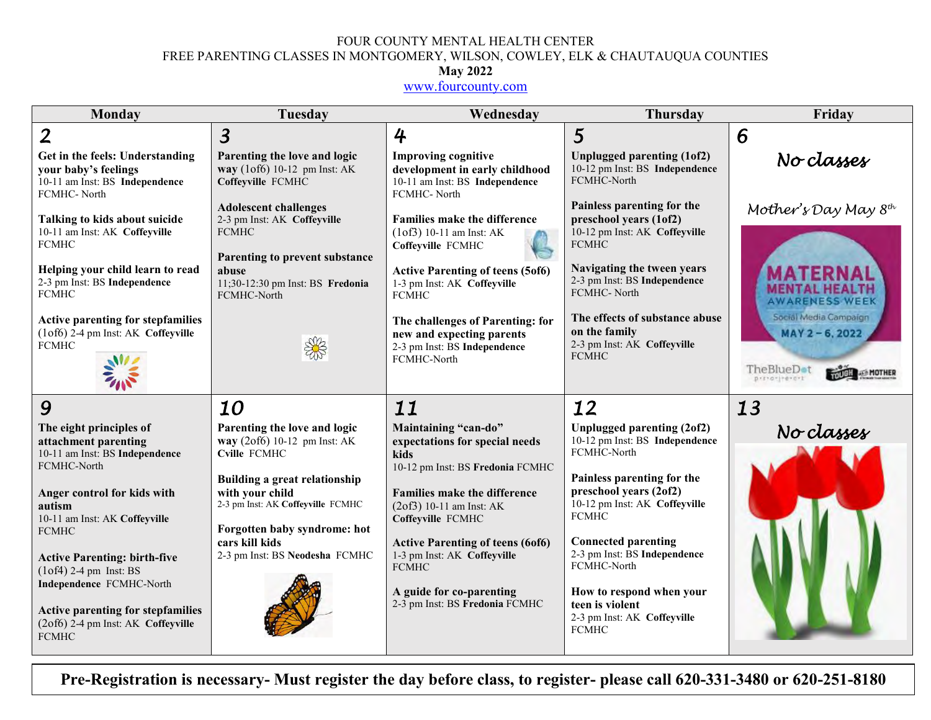#### FOUR COUNTY MENTAL HEALTH CENTER FREE PARENTING CLASSES IN MONTGOMERY, WILSON, COWLEY, ELK & CHAUTAUQUA COUNTIES

#### **May 2022**

[www.fourcounty.com](http://www.fourcounty.com/)

| Monday                                                                                                                                                                                                                                                                                                                                                                                 | Tuesday                                                                                                                                                                                                                                                          | Wednesday                                                                                                                                                                                                                                                                                                                                            | <b>Thursday</b>                                                                                                                                                                                                                                                                                                                                                 | Friday                                                                                                     |
|----------------------------------------------------------------------------------------------------------------------------------------------------------------------------------------------------------------------------------------------------------------------------------------------------------------------------------------------------------------------------------------|------------------------------------------------------------------------------------------------------------------------------------------------------------------------------------------------------------------------------------------------------------------|------------------------------------------------------------------------------------------------------------------------------------------------------------------------------------------------------------------------------------------------------------------------------------------------------------------------------------------------------|-----------------------------------------------------------------------------------------------------------------------------------------------------------------------------------------------------------------------------------------------------------------------------------------------------------------------------------------------------------------|------------------------------------------------------------------------------------------------------------|
| $\overline{2}$                                                                                                                                                                                                                                                                                                                                                                         | $\overline{3}$                                                                                                                                                                                                                                                   | 4                                                                                                                                                                                                                                                                                                                                                    | $\overline{5}$                                                                                                                                                                                                                                                                                                                                                  | 6                                                                                                          |
| Get in the feels: Understanding<br>your baby's feelings<br>10-11 am Inst: BS Independence<br>FCMHC-North                                                                                                                                                                                                                                                                               | Parenting the love and logic<br>way (1of6) 10-12 pm Inst: AK<br>Coffeyville FCMHC                                                                                                                                                                                | <b>Improving cognitive</b><br>development in early childhood<br>10-11 am Inst: BS Independence<br>FCMHC-North                                                                                                                                                                                                                                        | Unplugged parenting (1of2)<br>10-12 pm Inst: BS Independence<br>FCMHC-North                                                                                                                                                                                                                                                                                     | No classes                                                                                                 |
| Talking to kids about suicide<br>10-11 am Inst: AK Coffeyville<br><b>FCMHC</b><br>Helping your child learn to read<br>2-3 pm Inst: BS Independence                                                                                                                                                                                                                                     | <b>Adolescent challenges</b><br>2-3 pm Inst: AK Coffeyville<br><b>FCMHC</b><br>Parenting to prevent substance<br>abuse<br>11;30-12:30 pm Inst: BS Fredonia                                                                                                       | <b>Families make the difference</b><br>$(1 of 3) 10-11$ am Inst: AK<br>Coffeyville FCMHC<br><b>Active Parenting of teens (5of6)</b><br>1-3 pm Inst: AK Coffeyville                                                                                                                                                                                   | Painless parenting for the<br>preschool years (1of2)<br>10-12 pm Inst: AK Coffeyville<br><b>FCMHC</b><br>Navigating the tween years<br>2-3 pm Inst: BS Independence                                                                                                                                                                                             | Mother's Day May $8th$<br>MENTAL HE <i>i</i>                                                               |
| <b>FCMHC</b><br>Active parenting for stepfamilies<br>(1of6) 2-4 pm Inst: AK Coffeyville<br><b>FCMHC</b>                                                                                                                                                                                                                                                                                | FCMHC-North<br>S                                                                                                                                                                                                                                                 | <b>FCMHC</b><br>The challenges of Parenting: for<br>new and expecting parents<br>2-3 pm Inst: BS Independence<br>FCMHC-North                                                                                                                                                                                                                         | FCMHC-North<br>The effects of substance abuse<br>on the family<br>2-3 pm Inst: AK Coffeyville<br><b>FCMHC</b>                                                                                                                                                                                                                                                   | <b>AWARENESS WEEK</b><br>Social Media Campaign<br>MAY 2-6, 2022<br>TheBlueD <sub>ot</sub><br>princrimement |
| 9                                                                                                                                                                                                                                                                                                                                                                                      | 10                                                                                                                                                                                                                                                               | 11                                                                                                                                                                                                                                                                                                                                                   | 12                                                                                                                                                                                                                                                                                                                                                              | 13                                                                                                         |
| The eight principles of<br>attachment parenting<br>10-11 am Inst: BS Independence<br>FCMHC-North<br>Anger control for kids with<br>autism<br>10-11 am Inst: AK Coffeyville<br><b>FCMHC</b><br><b>Active Parenting: birth-five</b><br>$(1 of 4)$ 2-4 pm Inst: BS<br>Independence FCMHC-North<br>Active parenting for stepfamilies<br>(2of6) 2-4 pm Inst: AK Coffeyville<br><b>FCMHC</b> | Parenting the love and logic<br>way (2of6) 10-12 pm Inst: AK<br>Cville FCMHC<br><b>Building a great relationship</b><br>with your child<br>2-3 pm Inst: AK Coffeyville FCMHC<br>Forgotten baby syndrome: hot<br>cars kill kids<br>2-3 pm Inst: BS Neodesha FCMHC | Maintaining "can-do"<br>expectations for special needs<br>kids<br>10-12 pm Inst: BS Fredonia FCMHC<br><b>Families make the difference</b><br>$(2of3)$ 10-11 am Inst: AK<br>Coffeyville FCMHC<br><b>Active Parenting of teens (6of6)</b><br>1-3 pm Inst: AK Coffeyville<br><b>FCMHC</b><br>A guide for co-parenting<br>2-3 pm Inst: BS Fredonia FCMHC | Unplugged parenting (2of2)<br>10-12 pm Inst: BS Independence<br>FCMHC-North<br>Painless parenting for the<br>preschool years (2of2)<br>10-12 pm Inst: AK Coffeyville<br><b>FCMHC</b><br><b>Connected parenting</b><br>2-3 pm Inst: BS Independence<br>FCMHC-North<br>How to respond when your<br>teen is violent<br>2-3 pm Inst: AK Coffeyville<br><b>FCMHC</b> | No classes                                                                                                 |

**Pre-Registration is necessary- Must register the day before class, to register- please call 620-331-3480 or 620-251-8180**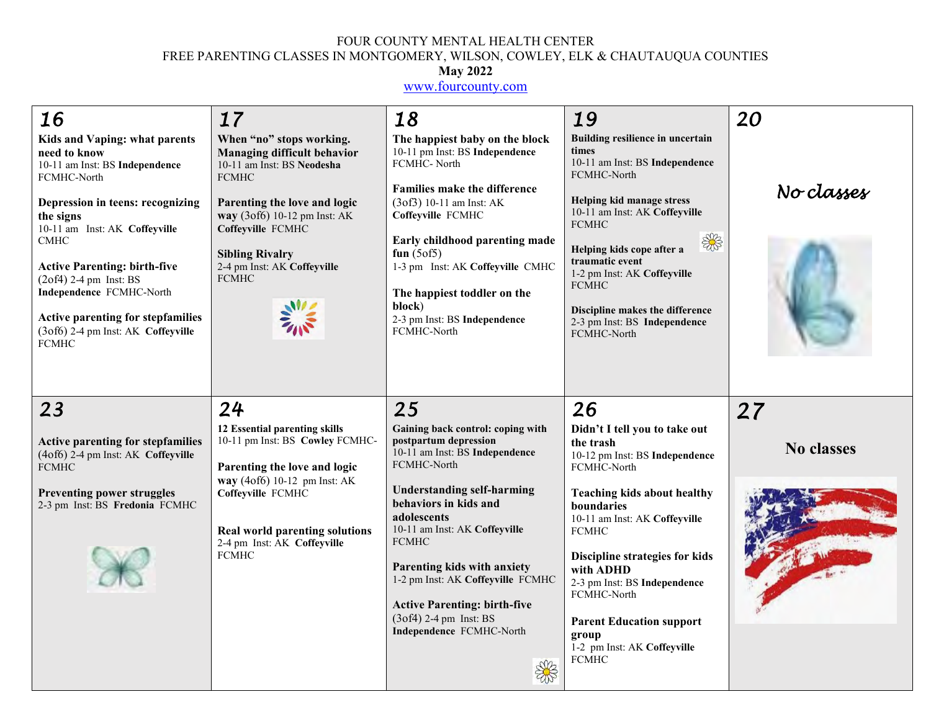#### FOUR COUNTY MENTAL HEALTH CENTER FREE PARENTING CLASSES IN MONTGOMERY, WILSON, COWLEY, ELK & CHAUTAUQUA COUNTIES

#### **May 2022**

[www.fourcounty.com](http://www.fourcounty.com/)

| 16<br>Kids and Vaping: what parents<br>need to know<br>10-11 am Inst: BS Independence<br>FCMHC-North<br>Depression in teens: recognizing<br>the signs<br>10-11 am Inst: AK Coffeyville<br><b>CMHC</b><br><b>Active Parenting: birth-five</b><br>$(2of4)$ 2-4 pm Inst: BS<br>Independence FCMHC-North<br>Active parenting for stepfamilies<br>(3of6) 2-4 pm Inst: AK Coffeyville<br><b>FCMHC</b> | 17<br>When "no" stops working.<br><b>Managing difficult behavior</b><br>10-11 am Inst: BS Neodesha<br><b>FCMHC</b><br>Parenting the love and logic<br>way (3of6) 10-12 pm Inst: AK<br>Coffeyville FCMHC<br><b>Sibling Rivalry</b><br>2-4 pm Inst: AK Coffeyville<br><b>FCMHC</b> | 18<br>The happiest baby on the block<br>10-11 pm Inst: BS Independence<br>FCMHC-North<br><b>Families make the difference</b><br>$(3 of 3) 10-11$ am Inst: AK<br>Coffeyville FCMHC<br>Early childhood parenting made<br>fun $(5 \circ f5)$<br>1-3 pm Inst: AK Coffeyville CMHC<br>The happiest toddler on the<br>block)<br>2-3 pm Inst: BS Independence<br>FCMHC-North | 19<br>Building resilience in uncertain<br>times<br>10-11 am Inst: BS Independence<br>FCMHC-North<br>Helping kid manage stress<br>10-11 am Inst: AK Coffeyville<br><b>FCMHC</b><br>\$<br>Helping kids cope after a<br>traumatic event<br>1-2 pm Inst: AK Coffeyville<br><b>FCMHC</b><br>Discipline makes the difference<br>2-3 pm Inst: BS Independence<br>FCMHC-North | 20<br>No classes        |
|-------------------------------------------------------------------------------------------------------------------------------------------------------------------------------------------------------------------------------------------------------------------------------------------------------------------------------------------------------------------------------------------------|----------------------------------------------------------------------------------------------------------------------------------------------------------------------------------------------------------------------------------------------------------------------------------|-----------------------------------------------------------------------------------------------------------------------------------------------------------------------------------------------------------------------------------------------------------------------------------------------------------------------------------------------------------------------|-----------------------------------------------------------------------------------------------------------------------------------------------------------------------------------------------------------------------------------------------------------------------------------------------------------------------------------------------------------------------|-------------------------|
| 23<br><b>Active parenting for stepfamilies</b>                                                                                                                                                                                                                                                                                                                                                  | 24<br>12 Essential parenting skills<br>10-11 pm Inst: BS Cowley FCMHC-                                                                                                                                                                                                           | 25<br>Gaining back control: coping with<br>postpartum depression                                                                                                                                                                                                                                                                                                      | 26<br>Didn't I tell you to take out<br>the trash                                                                                                                                                                                                                                                                                                                      | 27<br><b>No classes</b> |
| (4of6) 2-4 pm Inst: AK Coffeyville<br><b>FCMHC</b><br><b>Preventing power struggles</b><br>2-3 pm Inst: BS Fredonia FCMHC                                                                                                                                                                                                                                                                       | Parenting the love and logic<br>way (4of6) 10-12 pm Inst: AK<br>Coffeyville FCMHC                                                                                                                                                                                                | 10-11 am Inst: BS Independence<br>FCMHC-North<br><b>Understanding self-harming</b><br>behaviors in kids and                                                                                                                                                                                                                                                           | 10-12 pm Inst: BS Independence<br>FCMHC-North<br>Teaching kids about healthy<br>boundaries                                                                                                                                                                                                                                                                            |                         |
|                                                                                                                                                                                                                                                                                                                                                                                                 | <b>Real world parenting solutions</b><br>2-4 pm Inst: AK Coffeyville<br><b>FCMHC</b>                                                                                                                                                                                             | adolescents<br>10-11 am Inst: AK Coffeyville<br><b>FCMHC</b><br>Parenting kids with anxiety<br>1-2 pm Inst: AK Coffeyville FCMHC<br><b>Active Parenting: birth-five</b><br>$(3of4)$ 2-4 pm Inst: BS<br>Independence FCMHC-North                                                                                                                                       | 10-11 am Inst: AK Coffeyville<br><b>FCMHC</b><br>Discipline strategies for kids<br>with ADHD<br>2-3 pm Inst: BS Independence<br>FCMHC-North<br><b>Parent Education support</b><br>group<br>1-2 pm Inst: AK Coffeyville<br><b>FCMHC</b>                                                                                                                                |                         |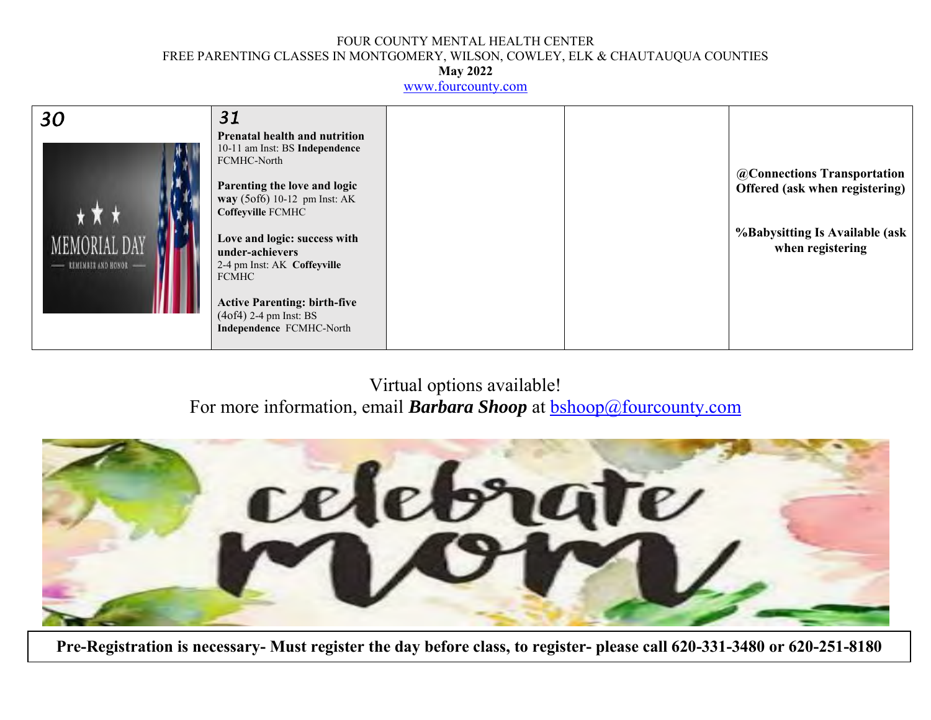### FOUR COUNTY MENTAL HEALTH CENTER FREE PARENTING CLASSES IN MONTGOMERY, WILSON, COWLEY, ELK & CHAUTAUQUA COUNTIES

**May 2022**

[www.fourcounty.com](http://www.fourcounty.com/)

| 30                                   | 31                                                                                                                                                                                                                                                                                                                                                                          |  |                                                                                                                     |
|--------------------------------------|-----------------------------------------------------------------------------------------------------------------------------------------------------------------------------------------------------------------------------------------------------------------------------------------------------------------------------------------------------------------------------|--|---------------------------------------------------------------------------------------------------------------------|
| MEMORIAL DAY<br>- REMEMBER AND HONOR | <b>Prenatal health and nutrition</b><br>10-11 am Inst: BS Independence<br>FCMHC-North<br>Parenting the love and logic<br>way (5of6) 10-12 pm Inst: AK<br>Coffeyville FCMHC<br>Love and logic: success with<br>under-achievers<br>2-4 pm Inst: AK Coffeyville<br><b>FCMHC</b><br><b>Active Parenting: birth-five</b><br>$(4of4)$ 2-4 pm Inst: BS<br>Independence FCMHC-North |  | @Connections Transportation<br>Offered (ask when registering)<br>%Babysitting Is Available (ask<br>when registering |

## Virtual options available! For more information, email **Barbara Shoop** at **bshoop**@fourcounty.com



**Pre-Registration is necessary- Must register the day before class, to register- please call 620-331-3480 or 620-251-8180**